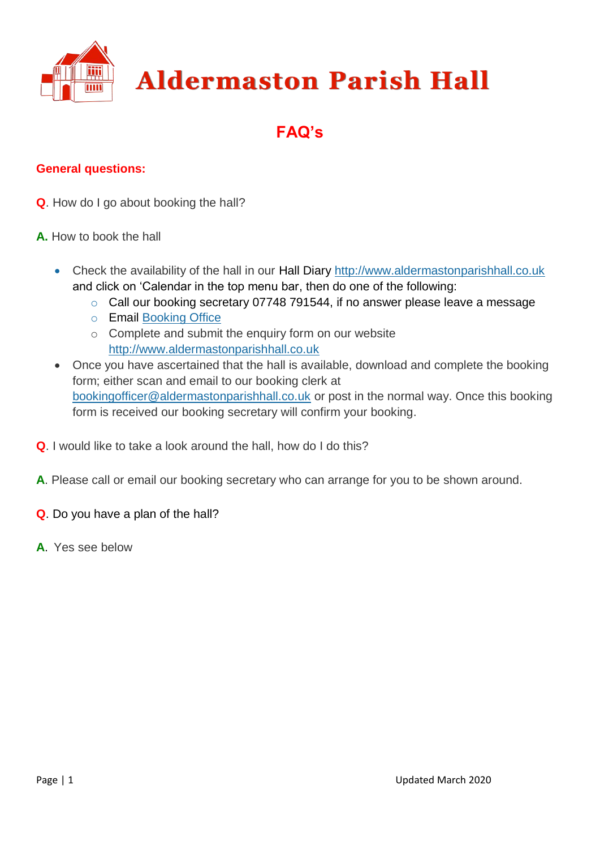

# **FAQ's**

## **General questions:**

- **Q**. How do I go about booking the hall?
- **A.** How to book the hall
	- Check the availability of the hall in our Hall Diary [http://www.aldermastonparishhall.co.uk](http://www.aldermastonparishhall.co.uk/)  and click on 'Calendar in the top menu bar, then do one of the following:
		- o Call our booking secretary 07748 791544, if no answer please leave a message
		- o Email [Booking Office](mailto:bookingofficer@aldermastonparishhall.co.uk)
		- o Complete and submit the enquiry form on our website [http://www.aldermastonparishhall.co.uk](http://www.aldermastonparishhall.co.uk/)
	- Once you have ascertained that the hall is available, download and complete the booking form; either scan and email to our booking clerk at [bookingofficer@aldermastonparishhall.co.uk](mailto:bookingofficer@aldermastonparishhall.co.uk) or post in the normal way. Once this booking form is received our booking secretary will confirm your booking.
- **Q**. I would like to take a look around the hall, how do I do this?
- **A**. Please call or email our booking secretary who can arrange for you to be shown around.
- **Q**. Do you have a plan of the hall?
- **A**. Yes see below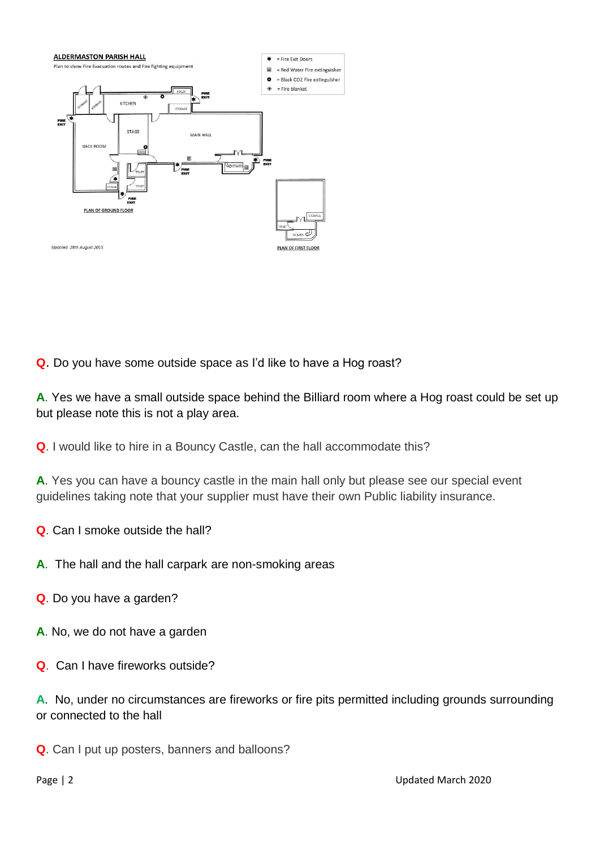

**Q**. Do you have some outside space as I'd like to have a Hog roast?

**A**. Yes we have a small outside space behind the Billiard room where a Hog roast could be set up but please note this is not a play area.

**Q**. I would like to hire in a Bouncy Castle, can the hall accommodate this?

**A**. Yes you can have a bouncy castle in the main hall only but please see our special event guidelines taking note that your supplier must have their own Public liability insurance.

**Q**. Can I smoke outside the hall?

- **A**. The hall and the hall carpark are non-smoking areas
- **Q**. Do you have a garden?
- **A**. No, we do not have a garden
- **Q**. Can I have fireworks outside?

**A**. No, under no circumstances are fireworks or fire pits permitted including grounds surrounding or connected to the hall

**Q**. Can I put up posters, banners and balloons?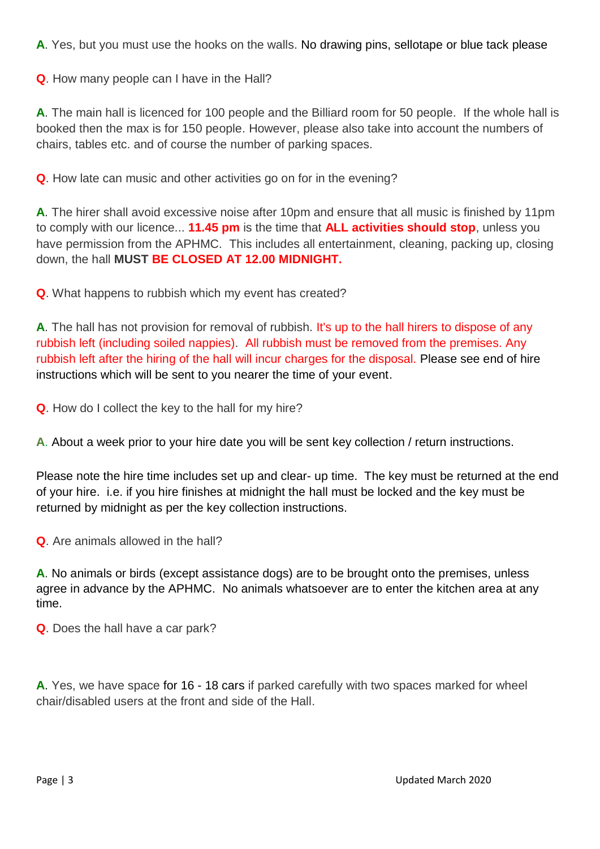**A**. Yes, but you must use the hooks on the walls. No drawing pins, sellotape or blue tack please

**Q**. How many people can I have in the Hall?

**A**. The main hall is licenced for 100 people and the Billiard room for 50 people. If the whole hall is booked then the max is for 150 people. However, please also take into account the numbers of chairs, tables etc. and of course the number of parking spaces.

**Q**. How late can music and other activities go on for in the evening?

**A**. The hirer shall avoid excessive noise after 10pm and ensure that all music is finished by 11pm to comply with our licence... **11.45 pm** is the time that **ALL activities should stop**, unless you have permission from the APHMC. This includes all entertainment, cleaning, packing up, closing down, the hall **MUST BE CLOSED AT 12.00 MIDNIGHT.**

**Q**. What happens to rubbish which my event has created?

A. The hall has not provision for removal of rubbish. It's up to the hall hirers to dispose of any rubbish left (including soiled nappies). All rubbish must be removed from the premises. Any rubbish left after the hiring of the hall will incur charges for the disposal. Please see end of hire instructions which will be sent to you nearer the time of your event.

**Q**. How do I collect the key to the hall for my hire?

**A**. About a week prior to your hire date you will be sent key collection / return instructions.

Please note the hire time includes set up and clear- up time. The key must be returned at the end of your hire. i.e. if you hire finishes at midnight the hall must be locked and the key must be returned by midnight as per the key collection instructions.

**Q**. Are animals allowed in the hall?

**A**. No animals or birds (except assistance dogs) are to be brought onto the premises, unless agree in advance by the APHMC. No animals whatsoever are to enter the kitchen area at any time.

**Q**. Does the hall have a car park?

**A**. Yes, we have space for 16 - 18 cars if parked carefully with two spaces marked for wheel chair/disabled users at the front and side of the Hall.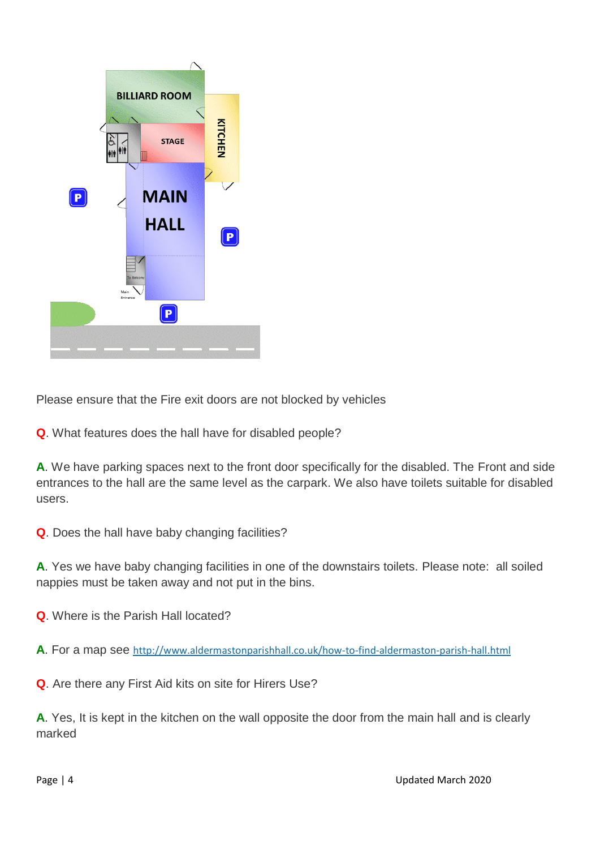

Please ensure that the Fire exit doors are not blocked by vehicles

**Q**. What features does the hall have for disabled people?

**A**. We have parking spaces next to the front door specifically for the disabled. The Front and side entrances to the hall are the same level as the carpark. We also have toilets suitable for disabled users.

**Q**. Does the hall have baby changing facilities?

**A**. Yes we have baby changing facilities in one of the downstairs toilets. Please note: all soiled nappies must be taken away and not put in the bins.

**Q**. Where is the Parish Hall located?

**A**. For a map see <http://www.aldermastonparishhall.co.uk/how-to-find-aldermaston-parish-hall.html>

**Q**. Are there any First Aid kits on site for Hirers Use?

**A**. Yes, It is kept in the kitchen on the wall opposite the door from the main hall and is clearly marked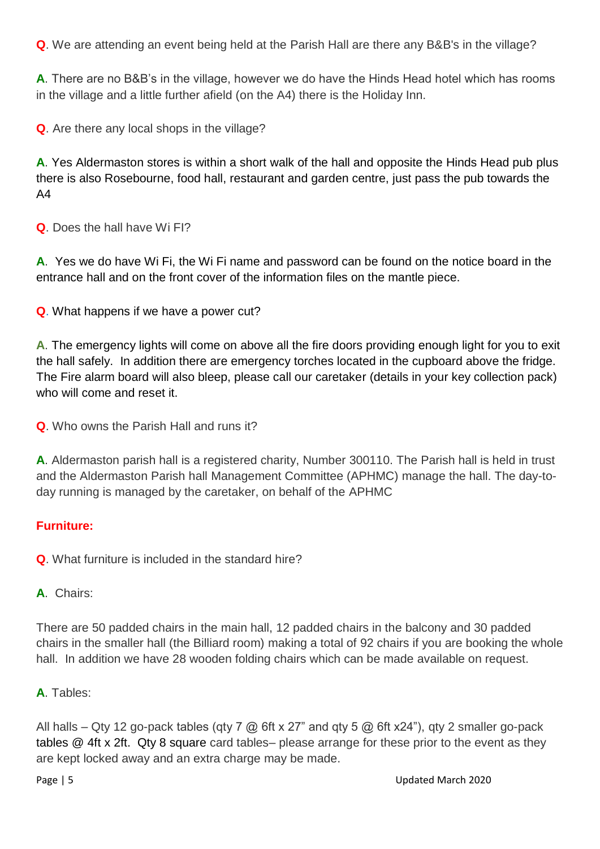**Q**. We are attending an event being held at the Parish Hall are there any B&B's in the village?

**A**. There are no B&B's in the village, however we do have the Hinds Head hotel which has rooms in the village and a little further afield (on the A4) there is the Holiday Inn.

**Q**. Are there any local shops in the village?

**A**. Yes Aldermaston stores is within a short walk of the hall and opposite the Hinds Head pub plus there is also Rosebourne, food hall, restaurant and garden centre, just pass the pub towards the A4

**Q**. Does the hall have Wi FI?

**A**. Yes we do have Wi Fi, the Wi Fi name and password can be found on the notice board in the entrance hall and on the front cover of the information files on the mantle piece.

**Q**. What happens if we have a power cut?

**A**. The emergency lights will come on above all the fire doors providing enough light for you to exit the hall safely. In addition there are emergency torches located in the cupboard above the fridge. The Fire alarm board will also bleep, please call our caretaker (details in your key collection pack) who will come and reset it.

**Q**. Who owns the Parish Hall and runs it?

**A**. Aldermaston parish hall is a registered charity, Number 300110. The Parish hall is held in trust and the Aldermaston Parish hall Management Committee (APHMC) manage the hall. The day-today running is managed by the caretaker, on behalf of the APHMC

## **Furniture:**

**Q**. What furniture is included in the standard hire?

**A**. Chairs:

There are 50 padded chairs in the main hall, 12 padded chairs in the balcony and 30 padded chairs in the smaller hall (the Billiard room) making a total of 92 chairs if you are booking the whole hall. In addition we have 28 wooden folding chairs which can be made available on request.

**A**. Tables:

All halls – Qty 12 go-pack tables (qty 7  $\varpi$ ) 6ft x 27" and qty 5  $\varpi$  6ft x24"), qty 2 smaller go-pack tables @ 4ft x 2ft. Qty 8 square card tables– please arrange for these prior to the event as they are kept locked away and an extra charge may be made.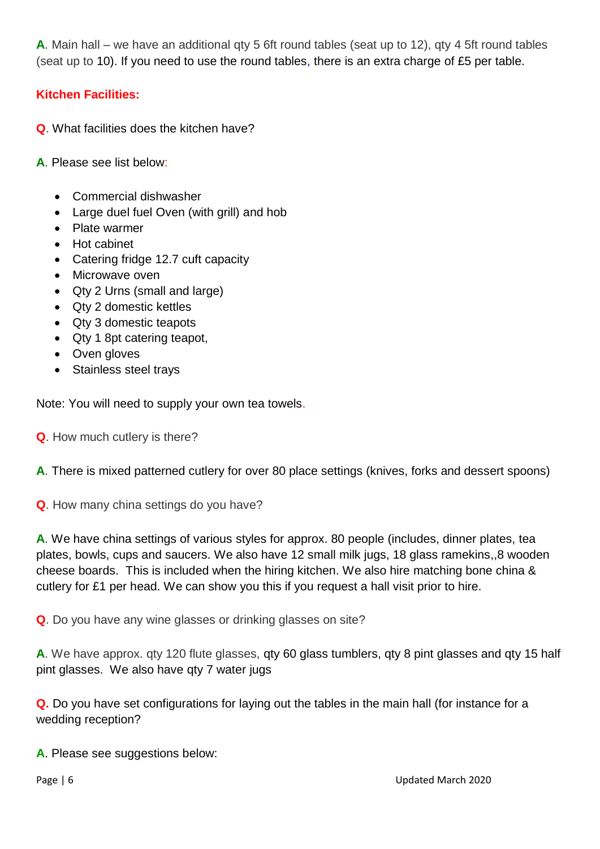**A**. Main hall – we have an additional qty 5 6ft round tables (seat up to 12), qty 4 5ft round tables (seat up to 10). If you need to use the round tables, there is an extra charge of £5 per table.

## **Kitchen Facilities:**

- **Q**. What facilities does the kitchen have?
- **A**. Please see list below:
	- Commercial dishwasher
	- Large duel fuel Oven (with grill) and hob
	- Plate warmer
	- Hot cabinet
	- Catering fridge 12.7 cuft capacity
	- Microwave oven
	- Qty 2 Urns (small and large)
	- Qty 2 domestic kettles
	- Qty 3 domestic teapots
	- Qty 1 8pt catering teapot,
	- Oven gloves
	- Stainless steel travs

Note: You will need to supply your own tea towels.

**Q**. How much cutlery is there?

**A**. There is mixed patterned cutlery for over 80 place settings (knives, forks and dessert spoons)

**Q**. How many china settings do you have?

**A**. We have china settings of various styles for approx. 80 people (includes, dinner plates, tea plates, bowls, cups and saucers. We also have 12 small milk jugs, 18 glass ramekins,,8 wooden cheese boards. This is included when the hiring kitchen. We also hire matching bone china & cutlery for £1 per head. We can show you this if you request a hall visit prior to hire.

**Q**. Do you have any wine glasses or drinking glasses on site?

**A**. We have approx. qty 120 flute glasses, qty 60 glass tumblers, qty 8 pint glasses and qty 15 half pint glasses. We also have qty 7 water jugs

**Q.** Do you have set configurations for laying out the tables in the main hall (for instance for a wedding reception?

**A**. Please see suggestions below: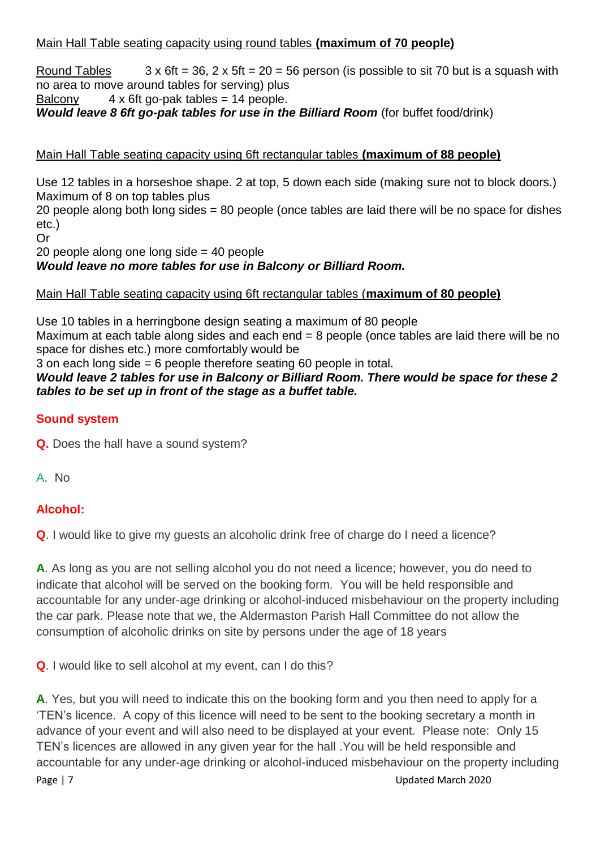#### Main Hall Table seating capacity using round tables **(maximum of 70 people)**

Round Tables  $3 \times 6$ ft = 36, 2 x 5ft = 20 = 56 person (is possible to sit 70 but is a squash with no area to move around tables for serving) plus Balcony  $4 \times 6$ ft go-pak tables = 14 people.

# *Would leave 8 6ft go-pak tables for use in the Billiard Room (for buffet food/drink)*

#### Main Hall Table seating capacity using 6ft rectangular tables **(maximum of 88 people)**

Use 12 tables in a horseshoe shape. 2 at top, 5 down each side (making sure not to block doors.) Maximum of 8 on top tables plus

20 people along both long sides = 80 people (once tables are laid there will be no space for dishes etc.)

Or

20 people along one long side = 40 people

*Would leave no more tables for use in Balcony or Billiard Room.*

#### Main Hall Table seating capacity using 6ft rectangular tables (**maximum of 80 people)**

Use 10 tables in a herringbone design seating a maximum of 80 people Maximum at each table along sides and each end = 8 people (once tables are laid there will be no space for dishes etc.) more comfortably would be

3 on each long side = 6 people therefore seating 60 people in total.

#### *Would leave 2 tables for use in Balcony or Billiard Room. There would be space for these 2 tables to be set up in front of the stage as a buffet table.*

#### **Sound system**

**Q.** Does the hall have a sound system?

A. No

## **Alcohol:**

**Q**. I would like to give my guests an alcoholic drink free of charge do I need a licence?

**A**. As long as you are not selling alcohol you do not need a licence; however, you do need to indicate that alcohol will be served on the booking form. You will be held responsible and accountable for any under-age drinking or alcohol-induced misbehaviour on the property including the car park. Please note that we, the Aldermaston Parish Hall Committee do not allow the consumption of alcoholic drinks on site by persons under the age of 18 years

**Q**. I would like to sell alcohol at my event, can I do this?

Page | 7 Updated March 2020 **A**. Yes, but you will need to indicate this on the booking form and you then need to apply for a 'TEN's licence. A copy of this licence will need to be sent to the booking secretary a month in advance of your event and will also need to be displayed at your event. Please note: Only 15 TEN's licences are allowed in any given year for the hall .You will be held responsible and accountable for any under-age drinking or alcohol-induced misbehaviour on the property including